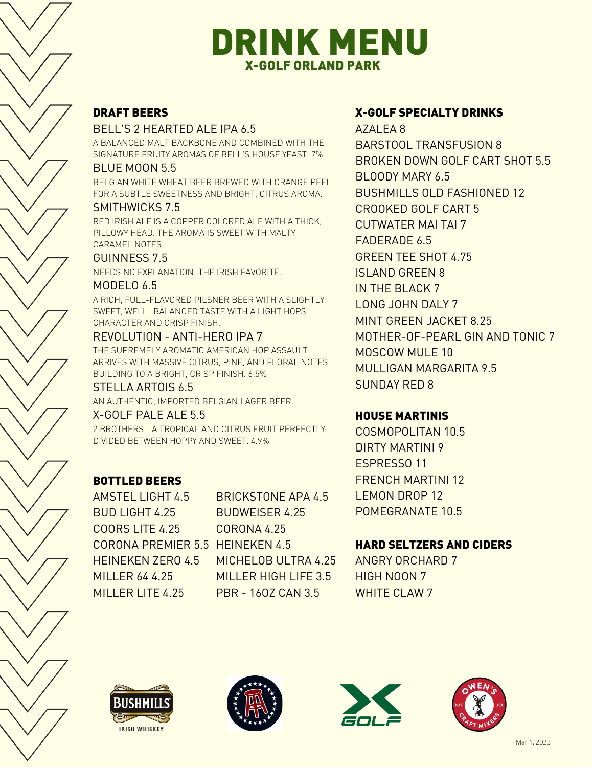## DRINK MENU X-GOLF ORLAND PARK

## DRAFT BEERS

## BELL'S 2 HEARTED ALE IPA 6.5

A BALANCED MALT BACKBONE AND COMBINED WITH THE SIGNATURE FRUITY AROMAS OF BELL'S HOUSE YEAST. 7%

#### BLUE MOON 5.5

BELGIAN WHITE WHEAT BEER BREWED WITH ORANGE PEEL FOR A SUBTLE SWEETNESS AND BRIGHT, CITRUS AROMA.

## SMITHWICKS 7.5

RED IRISH ALE IS A COPPER COLORED ALE WITH A THICK, PILLOWY HEAD. THE AROMA IS SWEET WITH MALTY CARAMEL NOTES.

## GUINNESS 7.5

NEEDS NO EXPLANATION. THE IRISH FAVORITE.

#### MODELO 6.5

A RICH, FULL-FLAVORED PILSNER BEER WITH A SLIGHTLY SWEET, WELL- BALANCED TASTE WITH A LIGHT HOPS CHARACTER AND CRISP FINISH.

## REVOLUTION - ANTI-HERO IPA 7

THE SUPREMELY AROMATIC AMERICAN HOP ASSAULT ARRIVES WITH MASSIVE CITRUS, PINE, AND FLORAL NOTES BUILDING TO A BRIGHT, CRISP FINISH. 6.5%

#### STELLA ARTOIS 6.5

AN AUTHENTIC, IMPORTED BELGIAN LAGER BEER.

## X-GOLF PALE ALE 5.5

2 BROTHERS - A TROPICAL AND CITRUS FRUIT PERFECTLY DIVIDED BETWEEN HOPPY AND SWEET. 4.9%

## BOTTLED BEERS

AMSTEL LIGHT 4.5 BUD LIGHT 4.25 COORS LITE 4.25 CORONA PREMIER 5.5 HEINEKEN 4.5 HEINEKEN ZERO 4.5 MILLER 64 4.25 MILLER LITE 4.25

BRICKSTONE APA 4.5 BUDWEISER 4.25 CORONA 4.25 MICHELOB ULTRA 4.25 MILLER HIGH LIFE 3.5 PBR - 16OZ CAN 3.5

## X-GOLF SPECIALTY DRINKS

AZALEA 8 BARSTOOL TRANSFUSION 8 BROKEN DOWN GOLF CART SHOT 5.5 BLOODY MARY 6.5 BUSHMILLS OLD FASHIONED 12 CROOKED GOLF CART 5 CUTWATER MAI TAI 7 FADERADE 6.5 GREEN TEE SHOT 4.75 ISLAND GREEN 8 IN THE BLACK 7 LONG JOHN DALY 7 MINT GREEN JACKET 8.25 MOTHER-OF-PEARL GIN AND TONIC 7 MOSCOW MULE 10 MULLIGAN MARGARITA 9.5 SUNDAY RED 8

## HOUSE MARTINIS

COSMOPOLITAN 10.5 DIRTY MARTINI 9 ESPRESSO 11 FRENCH MARTINI 12 LEMON DROP 12 POMEGRANATE 10.5

## HARD SELTZERS AND CIDERS

ANGRY ORCHARD 7 HIGH NOON 7 WHITE CLAW 7